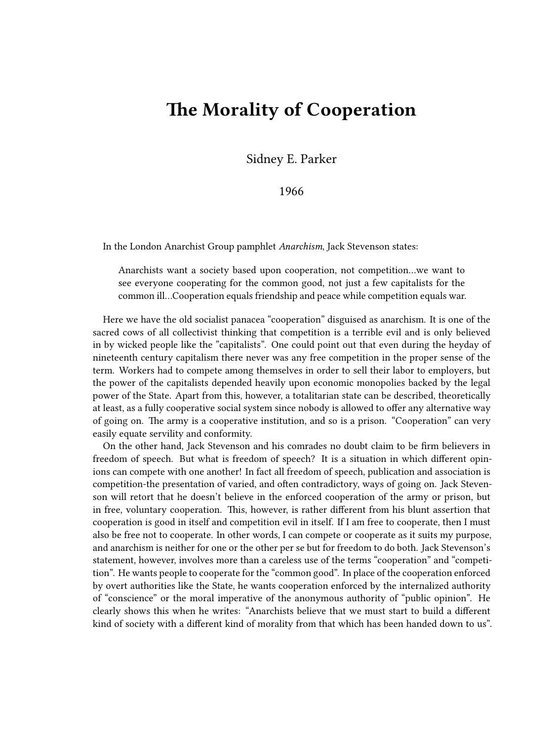## **The Morality of Cooperation**

Sidney E. Parker

1966

In the London Anarchist Group pamphlet *Anarchism*, Jack Stevenson states:

Anarchists want a society based upon cooperation, not competition…we want to see everyone cooperating for the common good, not just a few capitalists for the common ill…Cooperation equals friendship and peace while competition equals war.

Here we have the old socialist panacea "cooperation" disguised as anarchism. It is one of the sacred cows of all collectivist thinking that competition is a terrible evil and is only believed in by wicked people like the "capitalists". One could point out that even during the heyday of nineteenth century capitalism there never was any free competition in the proper sense of the term. Workers had to compete among themselves in order to sell their labor to employers, but the power of the capitalists depended heavily upon economic monopolies backed by the legal power of the State. Apart from this, however, a totalitarian state can be described, theoretically at least, as a fully cooperative social system since nobody is allowed to offer any alternative way of going on. The army is a cooperative institution, and so is a prison. "Cooperation" can very easily equate servility and conformity.

On the other hand, Jack Stevenson and his comrades no doubt claim to be firm believers in freedom of speech. But what is freedom of speech? It is a situation in which different opinions can compete with one another! In fact all freedom of speech, publication and association is competition-the presentation of varied, and often contradictory, ways of going on. Jack Stevenson will retort that he doesn't believe in the enforced cooperation of the army or prison, but in free, voluntary cooperation. This, however, is rather different from his blunt assertion that cooperation is good in itself and competition evil in itself. If I am free to cooperate, then I must also be free not to cooperate. In other words, I can compete or cooperate as it suits my purpose, and anarchism is neither for one or the other per se but for freedom to do both. Jack Stevenson's statement, however, involves more than a careless use of the terms "cooperation" and "competition". He wants people to cooperate for the "common good". In place of the cooperation enforced by overt authorities like the State, he wants cooperation enforced by the internalized authority of "conscience" or the moral imperative of the anonymous authority of "public opinion". He clearly shows this when he writes: "Anarchists believe that we must start to build a different kind of society with a different kind of morality from that which has been handed down to us".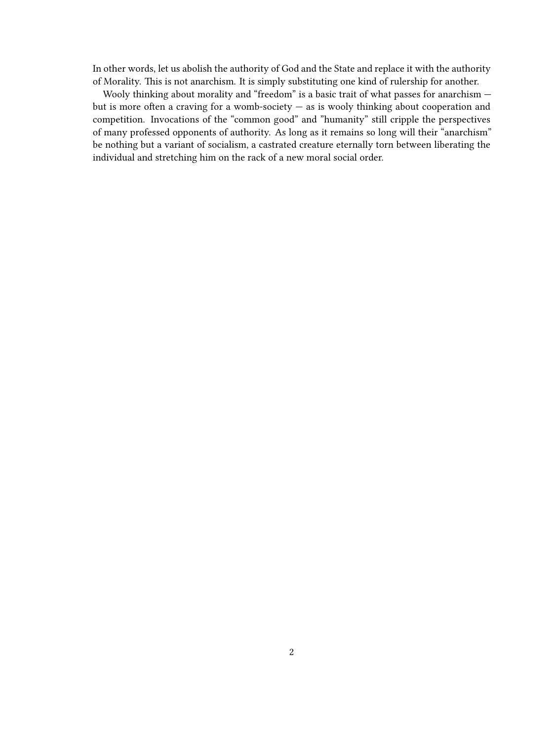In other words, let us abolish the authority of God and the State and replace it with the authority of Morality. This is not anarchism. It is simply substituting one kind of rulership for another.

Wooly thinking about morality and "freedom" is a basic trait of what passes for anarchism but is more often a craving for a womb-society — as is wooly thinking about cooperation and competition. Invocations of the "common good" and "humanity" still cripple the perspectives of many professed opponents of authority. As long as it remains so long will their "anarchism" be nothing but a variant of socialism, a castrated creature eternally torn between liberating the individual and stretching him on the rack of a new moral social order.